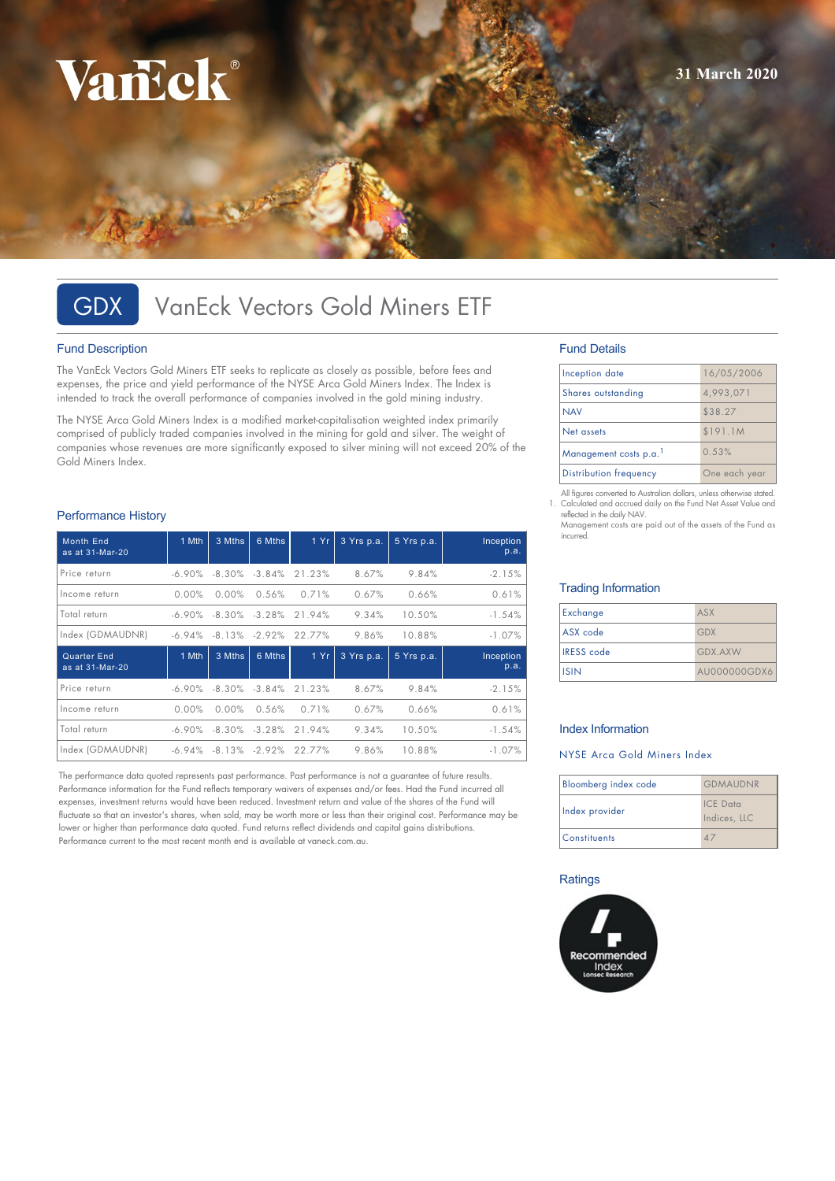# VarEck®

# GDX VanEck Vectors Gold Miners ETF

#### Fund Description

The VanEck Vectors Gold Miners ETF seeks to replicate as closely as possible, before fees and expenses, the price and yield performance of the NYSE Arca Gold Miners Index. The Index is intended to track the overall performance of companies involved in the gold mining industry.

The NYSE Arca Gold Miners Index is a modified market-capitalisation weighted index primarily comprised of publicly traded companies involved in the mining for gold and silver. The weight of companies whose revenues are more significantly exposed to silver mining will not exceed 20% of the Gold Miners Index.

#### Performance History

| <b>Month End</b><br>as at 31-Mar-20 | 1 Mth     | 3 Mths   | 6 Mths            | 1Yr                                  | 3 Yrs p.a. | 5 Yrs p.a. | Inception<br>p.a. |
|-------------------------------------|-----------|----------|-------------------|--------------------------------------|------------|------------|-------------------|
| Price return                        | $-6.90\%$ |          | $-8.30\% -3.84\%$ | 21.23%                               | 8.67%      | 9.84%      | $-2.15%$          |
| Income return                       | 0.00%     | 0.00%    | 0.56%             | 0.71%                                | 0.67%      | 0.66%      | 0.61%             |
| Total return                        | $-6.90\%$ |          |                   | $-8.30\% -3.28\%$ 21.94%             | 9.34%      | 10.50%     | $-1.54%$          |
| Index (GDMAUDNR)                    | $-6.94\%$ | $-8.13%$ | $-2.92\%$         | 22.77%                               | 9.86%      | 10.88%     | $-1.07%$          |
|                                     |           |          |                   |                                      |            |            |                   |
| Quarter End<br>as at 31-Mar-20      | 1 Mth     | 3 Mths   | 6 Mths            | 1Yr                                  | 3 Yrs p.a. | 5 Yrs p.a. | Inception<br>p.a. |
| Price return                        | $-6.90\%$ |          | $-8.30\% -3.84\%$ | 21.23%                               | 8.67%      | 9.84%      | $-2.15%$          |
| Income return                       | $0.00\%$  | $0.00\%$ | 0.56%             | 0.71%                                | 0.67%      | 0.66%      | 0.61%             |
| Total return                        |           |          |                   | $-6.90\%$ $-8.30\%$ $-3.28\%$ 21.94% | 9.34%      | 10.50%     | $-1.54%$          |

The performance data quoted represents past performance. Past performance is not a guarantee of future results. Performance information for the Fund reflects temporary waivers of expenses and/or fees. Had the Fund incurred all expenses, investment returns would have been reduced. Investment return and value of the shares of the Fund will fluctuate so that an investor's shares, when sold, may be worth more or less than their original cost. Performance may be lower or higher than performance data quoted. Fund returns reflect dividends and capital gains distributions. Performance current to the most recent month end is available at vaneck com.au.

### Fund Details

| Inception date                | 16/05/2006    |
|-------------------------------|---------------|
| Shares outstanding            | 4.993.071     |
| <b>NAV</b>                    | \$38.27       |
| Net assets                    | \$191.1M      |
| Management costs p.a.         | 0.53%         |
| <b>Distribution frequency</b> | One each year |

All figures converted to Australian dollars, unless otherwise stated. 1. Calculated and accrued daily on the Fund Net Asset Value and reflected in the daily NAV.

Management costs are paid out of the assets of the Fund as incurred.

#### Trading Information

| Exchange          | ASX            |
|-------------------|----------------|
| ASX code          | GDX            |
| <b>IRESS</b> code | <b>GDX.AXW</b> |
| <b>I</b> ISIN     | AU000000GDX6   |

#### Index Information

#### NYSE Arca Gold Miners Index

| Bloomberg index code | <b>GDMAUDNR</b>                 |
|----------------------|---------------------------------|
| Index provider       | <b>ICE</b> Data<br>Indices, LLC |
| <b>Constituents</b>  |                                 |

#### **Ratings**